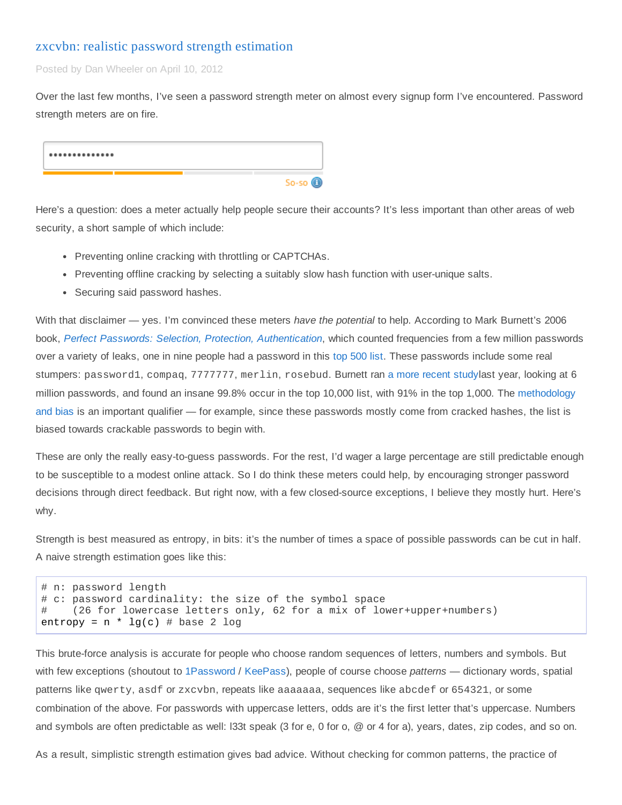### zxcvbn: realistic password strength [estimation](https://tech.dropbox.com/2012/04/zxcvbn-realistic-password-strength-estimation/)

Posted by Dan Wheeler on April 10, 2012

Over the last few months, I've seen a password strength meter on almost every signup form I've encountered. Password strength meters are on fire.

| $So-so$ $\circledcirc$ |
|------------------------|

Here's a question: does a meter actually help people secure their accounts? It's less important than other areas of web security, a short sample of which include:

- Preventing online cracking with throttling or CAPTCHAs.
- Preventing offline cracking by selecting a suitably slow hash function with user-unique salts.
- Securing said password hashes.

With that disclaimer — yes. I'm convinced these meters *have the potential* to help. According to Mark Burnett's 2006 book, *Perfect Passwords: Selection, Protection, [Authentication](http://www.amazon.com/Perfect-Password-Selection-Protection-Authentication/dp/1597490415)*, which counted frequencies from a few million passwords over a variety of leaks, one in nine people had a password in this top [500](http://xato.net/wp-content/xup/passwordscloud.png) list. These passwords include some real stumpers: password1, compaq, 7777777, merlin, rosebud. Burnett ran a more [recent](http://xato.net/passwords/more-top-worst-passwords) studylast year, looking at 6 million passwords, and found an insane 99.8% occur in the top 10,000 list, with 91% in the top 1,000. The [methodology](http://xato.net/passwords/how-i-collect-passwords) and bias is an important qualifier — for example, since these passwords mostly come from cracked hashes, the list is biased towards crackable passwords to begin with.

These are only the really easy-to-guess passwords. For the rest, I'd wager a large percentage are still predictable enough to be susceptible to a modest online attack. So I do think these meters could help, by encouraging stronger password decisions through direct feedback. But right now, with a few closed-source exceptions, I believe they mostly hurt. Here's why.

Strength is best measured as entropy, in bits: it's the number of times a space of possible passwords can be cut in half. A naive strength estimation goes like this:

```
# n: password length
# c: password cardinality: the size of the symbol space
# (26 for lowercase letters only, 62 for a mix of lower+upper+numbers)
entropy = n * lg(c) # base 2 log
```
This brute-force analysis is accurate for people who choose random sequences of letters, numbers and symbols. But with few exceptions (shoutout to [1Password](https://agilebits.com/onepassword) / [KeePass\)](http://keepass.info/), people of course choose *patterns* — dictionary words, spatial patterns like qwerty, asdf or zxcvbn, repeats like aaaaaaa, sequences like abcdef or 654321, or some combination of the above. For passwords with uppercase letters, odds are it's the first letter that's uppercase. Numbers and symbols are often predictable as well: l33t speak (3 for e, 0 for o, @ or 4 for a), years, dates, zip codes, and so on.

As a result, simplistic strength estimation gives bad advice. Without checking for common patterns, the practice of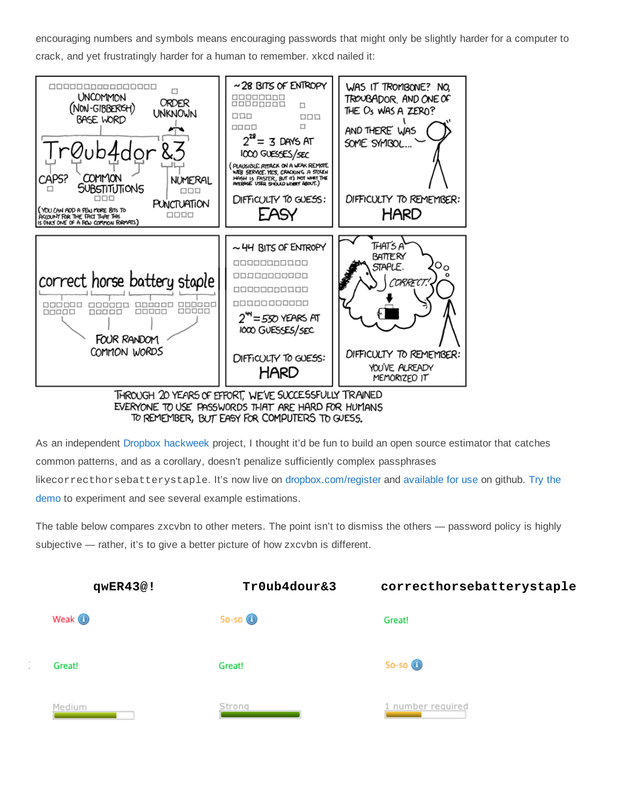encouraging numbers and symbols means encouraging passwords that might only be slightly harder for a computer to crack, and yet frustratingly harder for a human to remember. xkcd nailed it:



EVERYONE TO USE PASSWORDS THAT ARE HARD FOR HUMANS TO REMEMBER, BUT EASY FOR COMPUTERS TO GUESS.

As an independent Dropbox [hackweek](https://techcrunch.com/2012/03/26/a-peek-inside-dropboxs-company-wide-hack-week-at-its-big-new-sf-offices/) project, I thought it'd be fun to build an open source estimator that catches common patterns, and as a corollary, doesn't penalize sufficiently complex passphrases like[correcthorsebatterystaple](https://dl.dropbox.com/u/209/zxcvbn/test/index.html). It's now live on [dropbox.com/register](https://www.dropbox.com/register) and [available](https://github.com/lowe/zxcvbn) for use on github. Try the demo to experiment and see several example estimations.

The table below compares zxcvbn to other meters. The point isn't to dismiss the others — password policy is highly subjective — rather, it's to give a better picture of how zxcvbn is different.

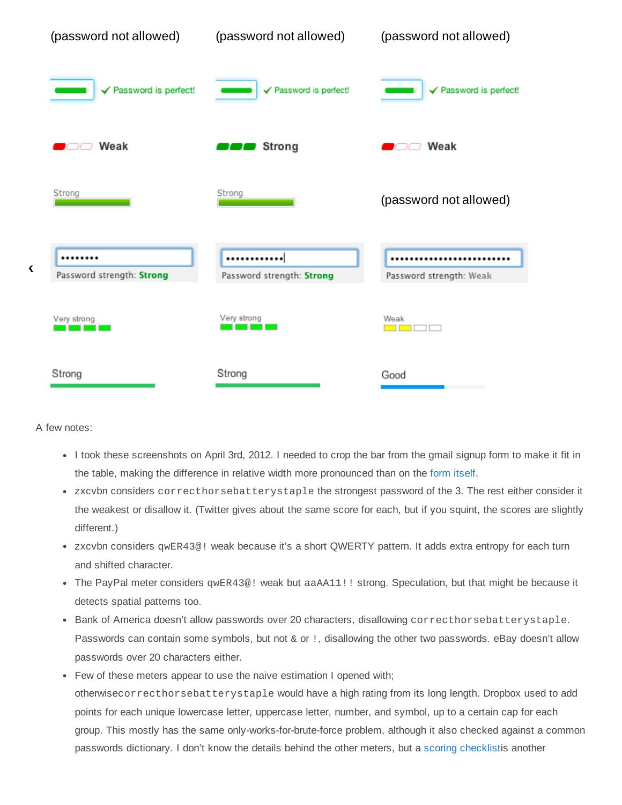| (password not allowed)        | (password not allowed)        | (password not allowed)  |
|-------------------------------|-------------------------------|-------------------------|
| √ Password is perfect!        | √ Password is perfect!        | √ Password is perfect!  |
| Weak                          | Strong                        | Weak                    |
| Strong                        | Strong                        | (password not allowed)  |
| <br>Password strength: Strong | <br>Password strength: Strong | Password strength: Weak |
| Very strong                   | Very strong<br>a sa t         | Weak                    |
| Strong                        | Strong                        | Good                    |

A few notes:

**Facebook**

- I took these screenshots on April 3rd, 2012. I needed to crop the bar from the gmail signup form to make it fit in the table, making the difference in relative width more pronounced than on the form [itself](https://accounts.google.com/SignUp?service=mail).
- zxcvbn considers correcthorsebatterystaple the strongest password of the 3. The rest either consider it the weakest or disallow it. (Twitter gives about the same score for each, but if you squint, the scores are slightly different.)
- zxcvbn considers qwER43@! weak because it's a short QWERTY pattern. It adds extra entropy for each turn and shifted character.
- The PayPal meter considers gwER43@! weak but aaAA11!! strong. Speculation, but that might be because it detects spatial patterns too.
- Bank of America doesn't allow passwords over 20 characters, disallowing correcthorsebatterystaple. Passwords can contain some symbols, but not & or !, disallowing the other two passwords. eBay doesn't allow passwords over 20 characters either.
- Few of these meters appear to use the naive estimation I opened with; otherwisecorrecthorsebatterystaplewould have a high rating from its long length. Dropbox used to add points for each unique lowercase letter, uppercase letter, number, and symbol, up to a certain cap for each group. This mostly has the same only-works-for-brute-force problem, although it also checked against a common passwords dictionary. I don't know the details behind the other meters, but a scoring [checklist](http://www.passwordmeter.com/)is another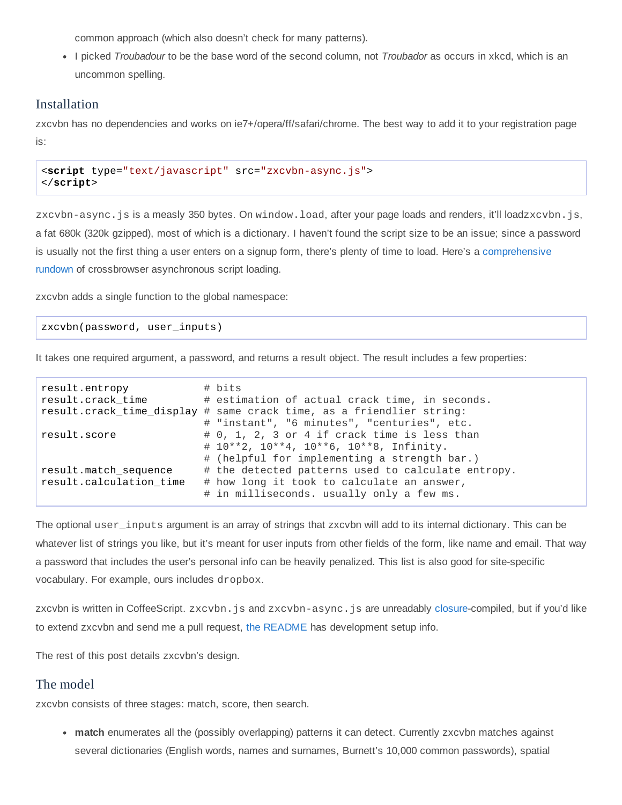common approach (which also doesn't check for many patterns).

I picked *Troubadour* to be the base word of the second column, not *Troubador* as occurs in xkcd, which is an uncommon spelling.

# Installation

zxcvbn has no dependencies and works on ie7+/opera/ff/safari/chrome. The best way to add it to your registration page is:

```
<script type="text/javascript" src="zxcvbn-async.js">
</script>
```
zxcvbn-async.js is a measly 350 bytes. On window.load, after your page loads and renders, it'll loadzxcvbn.js, a fat 680k (320k gzipped), most of which is a dictionary. I haven't found the script size to be an issue; since a password is usually not the first thing a user enters on a signup form, there's plenty of time to load. Here's a [comprehensive](http://friendlybit.com/js/lazy-loading-asyncronous-javascript/) rundown of crossbrowser asynchronous script loading.

zxcvbn adds a single function to the global namespace:

#### zxcvbn(password, user\_inputs)

It takes one required argument, a password, and returns a result object. The result includes a few properties:

```
result.entropy # bits
result.crack_time # estimation of actual crack time, in seconds.
result.crack_time_display # same crack time, as a friendlier string:
                        # "instant", "6 minutes", "centuries", etc.
result.score \# 0, 1, 2, 3 or 4 if crack time is less than
                        # 10**2, 10**4, 10**6, 10**8, Infinity.
                        # (helpful for implementing a strength bar.)
result.match_sequence # the detected patterns used to calculate entropy.
result.calculation_time # how long it took to calculate an answer,
                        # in milliseconds. usually only a few ms.
```
The optional user\_inputs argument is an array of strings that zxcvbn will add to its internal dictionary. This can be whatever list of strings you like, but it's meant for user inputs from other fields of the form, like name and email. That way a password that includes the user's personal info can be heavily penalized. This list is also good for site-specific vocabulary. For example, ours includes dropbox.

zxcvbn is written in CoffeeScript. zxcvbn. js and zxcvbn-async. js are unreadably [closure](https://developers.google.com/closure/compiler/)-compiled, but if you'd like to extend zxcvbn and send me a pull request, the [README](https://github.com/lowe/zxcvbn#readme) has development setup info.

The rest of this post details zxcvbn's design.

## The model

zxcvbn consists of three stages: match, score, then search.

• match enumerates all the (possibly overlapping) patterns it can detect. Currently zxcvbn matches against several dictionaries (English words, names and surnames, Burnett's 10,000 common passwords), spatial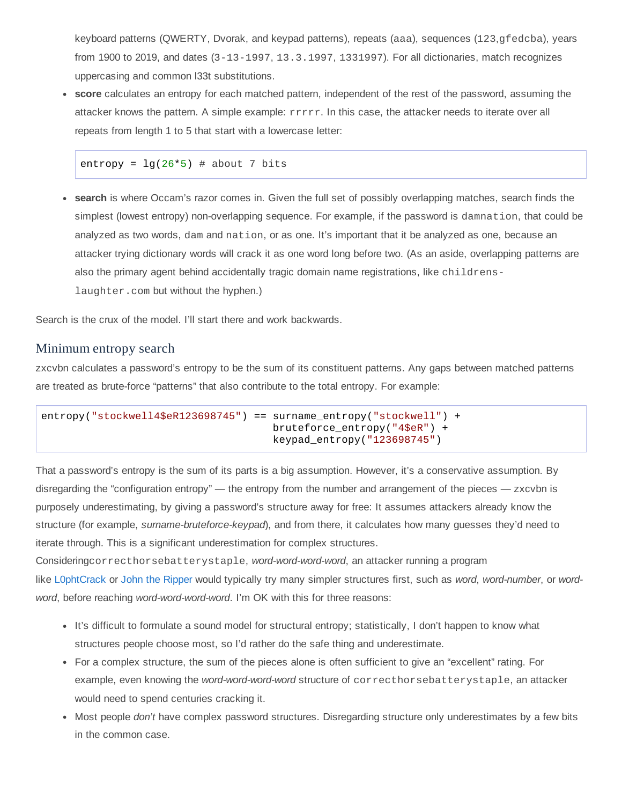keyboard patterns (QWERTY, Dvorak, and keypad patterns), repeats (aaa), sequences (123,gfedcba), years from 1900 to 2019, and dates (3-13-1997, 13.3.1997, 1331997). For all dictionaries, match recognizes uppercasing and common l33t substitutions.

**score** calculates an entropy for each matched pattern, independent of the rest of the password, assuming the attacker knows the pattern. A simple example: rrrrr. In this case, the attacker needs to iterate over all repeats from length 1 to 5 that start with a lowercase letter:

entropy =  $\lg(26*5)$  # about 7 bits

**search** is where Occam's razor comes in. Given the full set of possibly overlapping matches, search finds the simplest (lowest entropy) non-overlapping sequence. For example, if the password is damnation, that could be analyzed as two words, damand nation, or as one. It's important that it be analyzed as one, because an attacker trying dictionary words will crack it as one word long before two. (As an aside, overlapping patterns are also the primary agent behind accidentally tragic domain name registrations, like childrenslaughter.com but without the hyphen.)

Search is the crux of the model. I'll start there and work backwards.

#### Minimum entropy search

zxcvbn calculates a password's entropy to be the sum of its constituent patterns. Any gaps between matched patterns are treated as brute-force "patterns" that also contribute to the total entropy. For example:

```
entropy("stockwell4$eR123698745") == surname entropy("stockwell") +
                                     bruteforce_entropy("4$eR") +
                                     keypad_entropy("123698745")
```
That a password's entropy is the sum of its parts is a big assumption. However, it's a conservative assumption. By disregarding the "configuration entropy" — the entropy from the number and arrangement of the pieces — zxcvbn is purposely underestimating, by giving a password's structure away for free: It assumes attackers already know the structure (for example, *surname-bruteforce-keypad*), and from there, it calculates how many guesses they'd need to iterate through. This is a significant underestimation for complex structures.

Consideringcorrecthorsebatterystaple, *wordwordwordword*, an attacker running a program like [L0phtCrack](http://www.l0phtcrack.com/) or John the [Ripper](http://www.openwall.com/john/) would typically try many simpler structures first, such as *word*, *word-number*, or *wordword*, before reaching *wordwordwordword*. I'm OK with this for three reasons:

- It's difficult to formulate a sound model for structural entropy; statistically, I don't happen to know what structures people choose most, so I'd rather do the safe thing and underestimate.
- For a complex structure, the sum of the pieces alone is often sufficient to give an "excellent" rating. For example, even knowing the *word-word-word-word* structure of correcthorsebatterystaple, an attacker would need to spend centuries cracking it.
- Most people *don't* have complex password structures. Disregarding structure only underestimates by a few bits in the common case.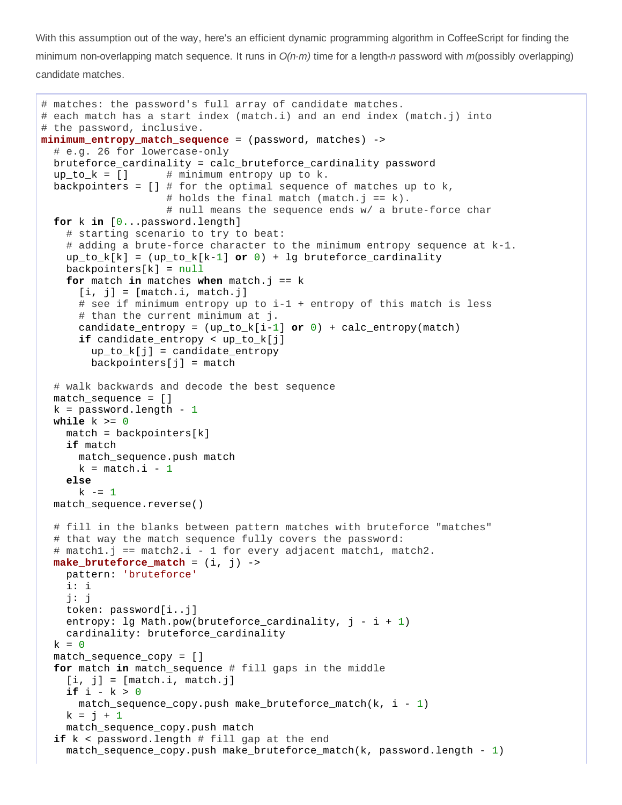With this assumption out of the way, here's an efficient dynamic programming algorithm in CoffeeScript for finding the minimum non-overlapping match sequence. It runs in *O(n⋅m)* time for a length-*n* password with *m*(possibly overlapping) candidate matches.

```
# matches: the password's full array of candidate matches.
# each match has a start index (match.i) and an end index (match.j) into
# the password, inclusive.
minimum_entropy_match_sequence = (password, matches) >
  # e.g. 26 for lowercase-only
 bruteforce_cardinality = calc_bruteforce_cardinality password
  up\_to\_k = [] # minimum entropy up to k.
  backpointers = \begin{bmatrix} 1 & # & \text{for the optimal sequence of matches up to k,} \end{bmatrix}# holds the final match (match.j == k).
                    # null means the sequence ends w/ a brute-force char
  for k in [0...password.length]
    # starting scenario to try to beat:
    # adding a brute-force character to the minimum entropy sequence at k-1.
    up_to_k[k] = (up_to_k[k-1] or 0) + lg bruteforce_cardinalitybackground = null
    for match in matches when match.j == k
      [i, i] = [match.i, match.i]# see if minimum entropy up to i-1 + entropy of this match is less
      # than the current minimum at j.
      candidate_entropy = (up_to_k[i-1] or \theta) + calc_entropy(match)
      if candidate_entropy < up_to_k[j]
        up_to_k[i] = candidate</u>background = match
  # walk backwards and decode the best sequence
 match\_sequence = []k = password. length - 1
 while k >= 0
   match = backpointers[k]if match
      match_sequence.push match
      k = match.i - 1else
      k = 1match_sequence.reverse()
  # fill in the blanks between pattern matches with bruteforce "matches"
  # that way the match sequence fully covers the password:
  # match1.j == match2.i - 1 for every adjacent match1, match2.
 make_bruteforce_match = (i, j) >
    pattern: 'bruteforce'
    i: i
    j: j
    token: password[i..j]
    entropy: lg Math.pow(bruteforce_cardinality, j - i + 1)
    cardinality: bruteforce_cardinality
  k = 0match sequence copy = []
  for match in match_sequence # fill gaps in the middle
    [i, j] = [match.i, match.j]if i  k > 0
      match\_sequence\_copy.push make_bruteforce_match(k, i - 1)k = j + 1match_sequence_copy.push match
  if k < password.length # fill gap at the end
    match_sequence_copy.push make_bruteforce_match(k, password.length -1)
```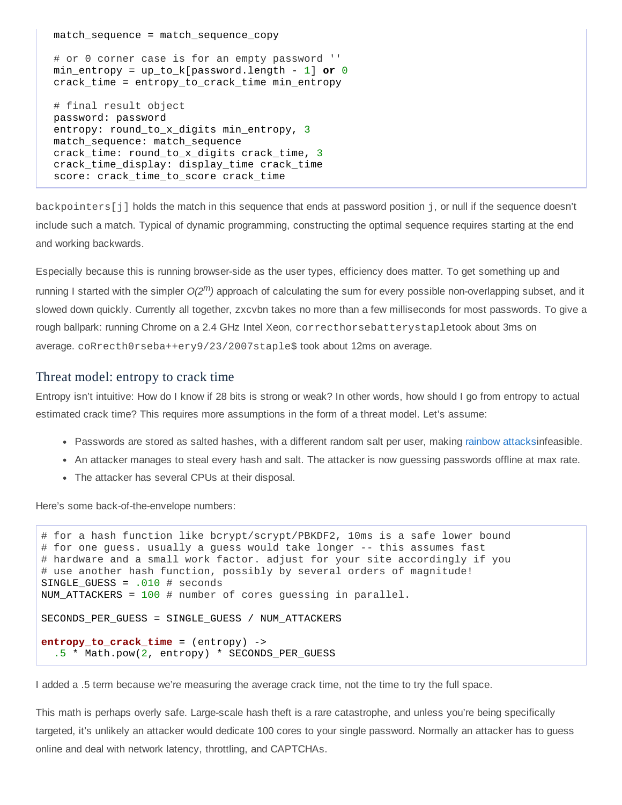match\_sequence = match\_sequence\_copy

# or 0 corner case is for an empty password ''  $min\_entropy = up\_to\_k[password.length - 1]$  or  $\Theta$ crack\_time = entropy\_to\_crack\_time min\_entropy # final result object password: password entropy: round\_to\_x\_digits min\_entropy, 3 match\_sequence: match\_sequence crack time: round to x digits crack time, 3 crack\_time\_display: display\_time crack\_time score: crack\_time\_to\_score crack\_time

backpointers[j] holds the match in this sequence that ends at password position j, or null if the sequence doesn't include such a match. Typical of dynamic programming, constructing the optimal sequence requires starting at the end and working backwards.

Especially because this is running browserside as the user types, efficiency does matter. To get something up and running I started with the simpler  $O(2^m)$  approach of calculating the sum for every possible non-overlapping subset, and it slowed down quickly. Currently all together, zxcvbn takes no more than a few milliseconds for most passwords. To give a rough ballpark: running Chrome on a 2.4 GHz Intel Xeon, correcthorsebatterystapletook about 3ms on average. coRrecth0rseba++ery9/23/2007staple\$took about 12ms on average.

#### Threat model: entropy to crack time

Entropy isn't intuitive: How do I know if 28 bits is strong or weak? In other words, how should I go from entropy to actual estimated crack time? This requires more assumptions in the form of a threat model. Let's assume:

- Passwords are stored as salted hashes, with a different random salt per user, making [rainbow](http://en.wikipedia.org/wiki/Rainbow_table) attacksinfeasible.
- An attacker manages to steal every hash and salt. The attacker is now guessing passwords offline at max rate.
- The attacker has several CPUs at their disposal.

Here's some back-of-the-envelope numbers:

```
# for a hash function like bcrypt/scrypt/PBKDF2, 10ms is a safe lower bound
# for one guess. usually a guess would take longer -- this assumes fast
# hardware and a small work factor. adjust for your site accordingly if you
# use another hash function, possibly by several orders of magnitude!
SINGLE_GUESS = .010 # seconds
NUM_ATTACKERS = 100 # number of cores guessing in parallel.
SECONDS_PER_GUESS = SINGLE_GUESS / NUM_ATTACKERS
entropy_to_crack_time = (entropy) ->
  .5 * Math.pow(2, entropy) * SECONDS_PER_GUESS
```
I added a .5 term because we're measuring the average crack time, not the time to try the full space.

This math is perhaps overly safe. Large-scale hash theft is a rare catastrophe, and unless you're being specifically targeted, it's unlikely an attacker would dedicate 100 cores to your single password. Normally an attacker has to guess online and deal with network latency, throttling, and CAPTCHAs.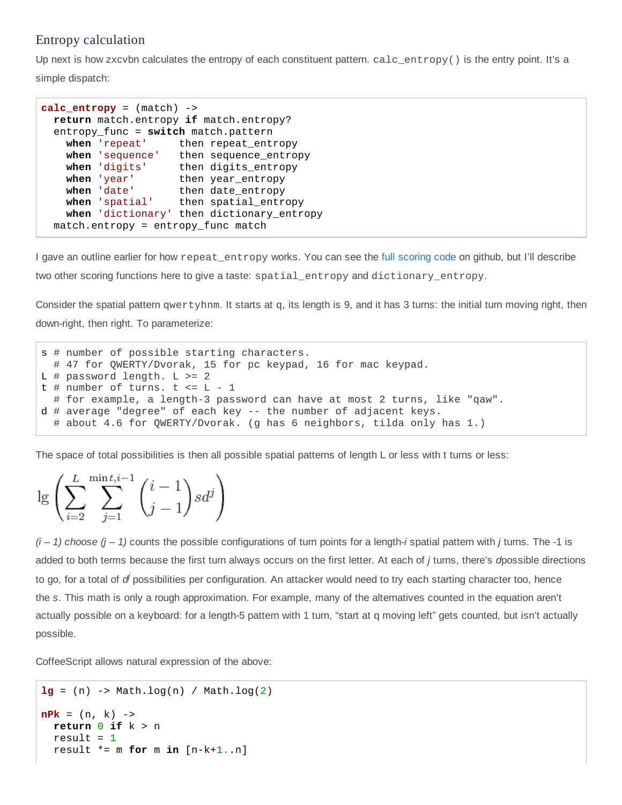## Entropy calculation

Up next is how zxcvbn calculates the entropy of each constituent pattern. calc\_entropy() is the entry point. It's a simple dispatch:

 $calc\_entropy = (match)$  -> **return** match.entropy **if** match.entropy? entropy\_func = **switch** match.pattern when 'repeat' then repeat\_entropy<br>when 'sequence' then sequence\_entro when 'sequence' then sequence\_entropy<br>when 'digits' then digits\_entropy then digits\_entropy when 'year' then year\_entropy<br>when 'date' then date\_entropy **when** 'date' then date\_entropy **when** 'spatial' then spatial\_entropy **when** 'dictionary' then dictionary\_entropy match.entropy = entropy\_func match

I gave an outline earlier for how repeat\_entropyworks. You can see the full [scoring](https://github.com/lowe/zxcvbn/blob/master/scoring.coffee) code on github, but I'll describe two other scoring functions here to give a taste: spatial\_entropyand dictionary\_entropy.

Consider the spatial pattern qwertyhnm. It starts at q, its length is 9, and it has 3 turns: the initial turn moving right, then down-right, then right. To parameterize:

```
s # number of possible starting characters.
 # 47 for QWERTY/Dvorak, 15 for pc keypad, 16 for mac keypad.
L # password length. L \geq 2
t # number of turns. t \leq L - 1# for example, a length-3 password can have at most 2 turns, like "qaw".
d # average "degree" of each key - the number of adjacent keys.
 # about 4.6 for QWERTY/Dvorak. (g has 6 neighbors, tilda only has 1.)
```
The space of total possibilities is then all possible spatial patterns of length L or less with t turns or less:

 $L$  mint.i- $\sum_{i=0}^{L}\sum_{i=1}^{\min i,i-1}{i-1 \choose j-1}sd^j$ 

 $(i - 1)$  *choose*  $(j - 1)$  counts the possible configurations of turn points for a length-*i* spatial pattern with *j* turns. The -1 is added to both terms because the first turn always occurs on the first letter. At each of *j* turns, there's *d*possible directions to go, for a total of *d<sup>i</sup>* possibilities per configuration. An attacker would need to try each starting character too, hence the *s*. This math is only a rough approximation. For example, many of the alternatives counted in the equation aren't actually possible on a keyboard: for a length-5 pattern with 1 turn, "start at q moving left" gets counted, but isn't actually possible.

CoffeeScript allows natural expression of the above:

```
lg = (n) -> Math.log(n) / Math.log(2)
nPk = (n, k) ->
 return 0 if k > n
  result = 1result * = m for m in [n-k+1..n]
```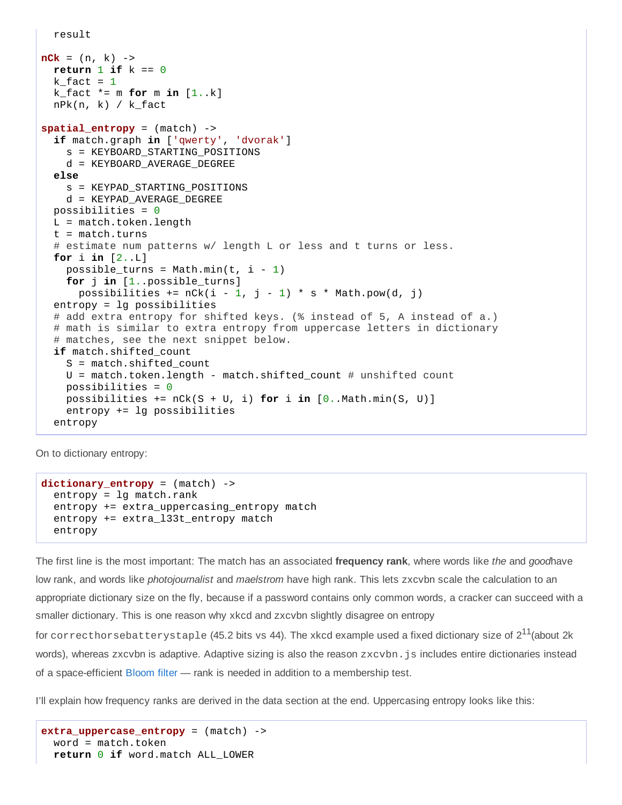```
result
```

```
nCK = (n, k) ->
  return 1 if k == 0k_fact = 1k_{r} fact * = m for m in [1..k]nPk(n, k) / k_fact
spatial</u> <sub>entropy</sub> = (match) -&gt;</sub>
  if match.graph in ['qwerty', 'dvorak']
    s = KEYBOARD_STARTING_POSITIONS
    d = KEYBOARD_AVERAGE_DEGREE
  else
    s = KEYPAD_STARTING_POSITIONS
    d = KEYPAD_AVERAGE_DEGREE
  possibilities = \thetaL = match.token.Lenqtht = match.turns# estimate num patterns w/ length L or less and t turns or less.
  for i in [2..L]
    possible_turns = Math.min(t, i - 1)
    for j in [1..possible_turns]
      possibilities += nCk(i - 1, j - 1) * s * Math.pow(d, j)
  entropy = lg possibilities
  # add extra entropy for shifted keys. (% instead of 5, A instead of a.)
  # math is similar to extra entropy from uppercase letters in dictionary
  # matches, see the next snippet below.
  if match.shifted_count
    S = match.shifted_count
    U = match.token.length - match.shifted_count # unshifted count
    possibilities = \thetapossibilities += nCk(S + U, i) for i in [0..Math.min(S, U)]
    entropy += lg possibilities
  entropy
```
On to dictionary entropy:

```
dictionary_entropy = (match) ->
 entropy = 1g match.rank
 entropy += extra_uppercasing_entropy match
 entropy += extra_l33t_entropy match
 entropy
```
The first line is the most important: The match has an associated **frequency rank**, where words like *the* and *good*have low rank, and words like *photojournalist* and *maelstrom* have high rank. This lets zxcvbn scale the calculation to an appropriate dictionary size on the fly, because if a password contains only common words, a cracker can succeed with a smaller dictionary. This is one reason why xkcd and zxcvbn slightly disagree on entropy

for correcthorsebatterystaple (45.2 bits vs 44). The xkcd example used a fixed dictionary size of 2 $^{11}$ (about 2k words), whereas zxcvbn is adaptive. Adaptive sizing is also the reason zxcvbn. js includes entire dictionaries instead of a spaceefficient [Bloom](http://en.wikipedia.org/wiki/Bloom_filter) filter — rank is needed in addition to a membership test.

I'll explain how frequency ranks are derived in the data section at the end. Uppercasing entropy looks like this:

```
extra_uppercase_entropy = (match) ->
 word = match.token
  return 0 if word.match ALL_LOWER
```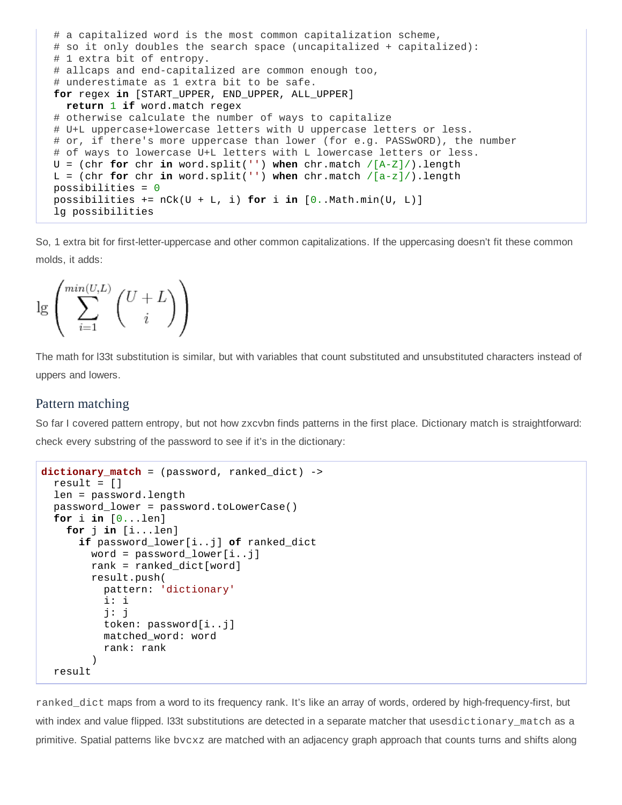```
# a capitalized word is the most common capitalization scheme,
# so it only doubles the search space (uncapitalized + capitalized):
# 1 extra bit of entropy.
# allcaps and end-capitalized are common enough too,
# underestimate as 1 extra bit to be safe.
for regex in [START_UPPER, END_UPPER, ALL_UPPER]
  return 1 if word.match regex
# otherwise calculate the number of ways to capitalize
# U+L uppercase+lowercase letters with U uppercase letters or less.
# or, if there's more uppercase than lower (for e.g. PASSwORD), the number
# of ways to lowercase U+L letters with L lowercase letters or less.
U = (chr for chr in word.split('') when chr.match /[A-Z]/).length
L = (chr for chr in word.split('') when chr.match / [a-z]/). length
possibilities = \thetapossibilities += nCk(U + L, i) for i in [0..Math.min(U, L)]lg possibilities
```
So, 1 extra bit for first-letter-uppercase and other common capitalizations. If the uppercasing doesn't fit these common molds, it adds:



The math for l33t substitution is similar, but with variables that count substituted and unsubstituted characters instead of uppers and lowers.

## Pattern matching

So far I covered pattern entropy, but not how zxcvbn finds patterns in the first place. Dictionary match is straightforward: check every substring of the password to see if it's in the dictionary:

```
dictionary_match = (password, ranked_dict) >
  result = \lceil]
  len = password.length
  password_lower = password.toLowerCase()
  for i in [0...len]
    for j in [i...len]
      if password_lower[i..j] of ranked_dict
        word = password\_lower[i..j]rank = ranked_dict[word]result.push(
          pattern: 'dictionary'
          i: i
          j: j
          token: password[i..j]
          matched_word: word
          rank: rank
        )
  result
```
ranked dict maps from a word to its frequency rank. It's like an array of words, ordered by high-frequency-first, but with index and value flipped. I33t substitutions are detected in a separate matcher that usesdictionary\_match as a primitive. Spatial patterns like bvcxz are matched with an adjacency graph approach that counts turns and shifts along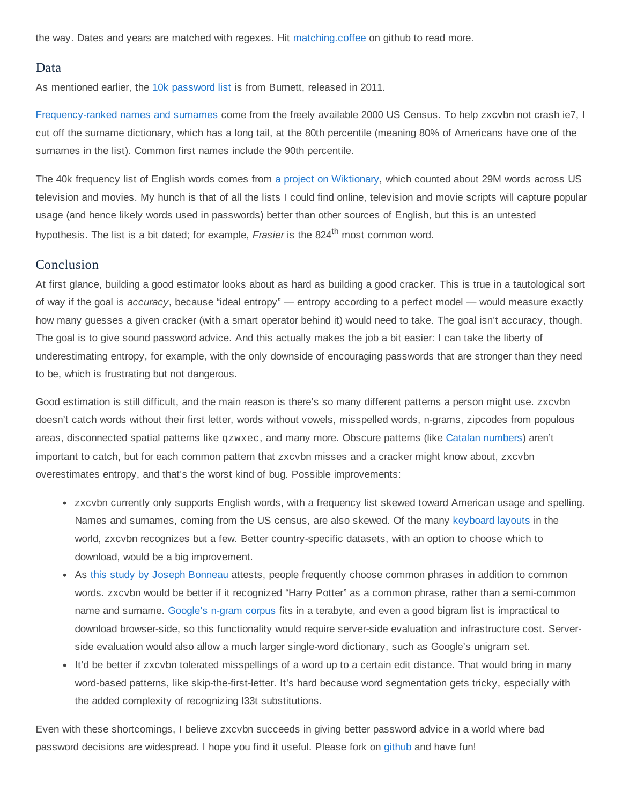the way. Dates and years are matched with regexes. Hit [matching.coffee](https://github.com/lowe/zxcvbn/blob/master/matching.coffee) on github to read more.

#### Data

As mentioned earlier, the 10k [password](http://xato.net/passwords/more-top-worst-passwords) list is from Burnett, released in 2011.

Frequency-ranked names and surnames come from the freely available 2000 US Census. To help zxcvbn not crash ie7, I cut off the surname dictionary, which has a long tail, at the 80th percentile (meaning 80% of Americans have one of the surnames in the list). Common first names include the 90th percentile.

The 40k frequency list of English words comes from a project on [Wiktionary,](http://en.wiktionary.org/wiki/Wiktionary:Frequency_lists) which counted about 29M words across US television and movies. My hunch is that of all the lists I could find online, television and movie scripts will capture popular usage (and hence likely words used in passwords) better than other sources of English, but this is an untested hypothesis. The list is a bit dated; for example, *Frasier* is the 824<sup>th</sup> most common word.

### Conclusion

At first glance, building a good estimator looks about as hard as building a good cracker. This is true in a tautological sort of way if the goal is *accuracy*, because "ideal entropy" — entropy according to a perfect model — would measure exactly how many guesses a given cracker (with a smart operator behind it) would need to take. The goal isn't accuracy, though. The goal is to give sound password advice. And this actually makes the job a bit easier: I can take the liberty of underestimating entropy, for example, with the only downside of encouraging passwords that are stronger than they need to be, which is frustrating but not dangerous.

Good estimation is still difficult, and the main reason is there's so many different patterns a person might use. zxcvbn doesn't catch words without their first letter, words without vowels, misspelled words, n-grams, zipcodes from populous areas, disconnected spatial patterns like qzwxec, and many more. Obscure patterns (like Catalan [numbers\)](http://en.wikipedia.org/wiki/Catalan_number) aren't important to catch, but for each common pattern that zxcvbn misses and a cracker might know about, zxcvbn overestimates entropy, and that's the worst kind of bug. Possible improvements:

- zxcvbn currently only supports English words, with a frequency list skewed toward American usage and spelling. Names and surnames, coming from the US census, are also skewed. Of the many [keyboard](http://en.wikipedia.org/wiki/Keyboard_layout) layouts in the world, zxcvbn recognizes but a few. Better country-specific datasets, with an option to choose which to download, would be a big improvement.
- As this study by Joseph [Bonneau](http://www.lightbluetouchpaper.org/2012/03/07/some-evidence-on-multi-word-passphrases/) attests, people frequently choose common phrases in addition to common words. zxcvbn would be better if it recognized "Harry Potter" as a common phrase, rather than a semi-common name and surname. [Google's](http://www.ldc.upenn.edu/Catalog/catalogEntry.jsp?catalogId=LDC2009T25) n-gram corpus fits in a terabyte, and even a good bigram list is impractical to download browserside, so this functionality would require serverside evaluation and infrastructure cost. Serverside evaluation would also allow a much larger single-word dictionary, such as Google's unigram set.
- It'd be better if zxcvbn tolerated misspellings of a word up to a certain edit distance. That would bring in many word-based patterns, like skip-the-first-letter. It's hard because word segmentation gets tricky, especially with the added complexity of recognizing l33t substitutions.

Even with these shortcomings, I believe zxcvbn succeeds in giving better password advice in a world where bad password decisions are widespread. I hope you find it useful. Please fork on [github](https://github.com/lowe/zxcvbn) and have fun!